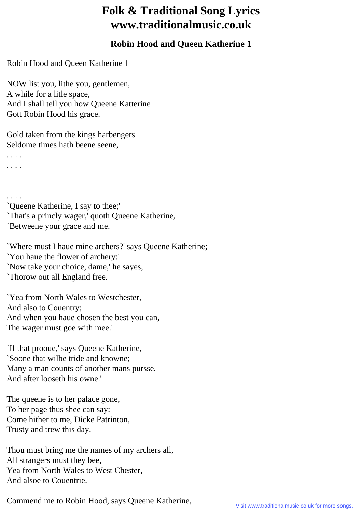## **Folk & Traditional Song Lyrics www.traditionalmusic.co.uk**

## **Robin Hood and Queen Katherine 1**

Robin Hood and Queen Katherine 1

NOW list you, lithe you, gentlemen, A while for a litle space, And I shall tell you how Queene Katterine Gott Robin Hood his grace.

Gold taken from the kings harbengers Seldome times hath beene seene,

. . . . . . . .

. . . .

`Queene Katherine, I say to thee;'

`That's a princly wager,' quoth Queene Katherine,

`Betweene your grace and me.

`Where must I haue mine archers?' says Queene Katherine; `You haue the flower of archery:' `Now take your choice, dame,' he sayes, `Thorow out all England free.

`Yea from North Wales to Westchester, And also to Couentry; And when you haue chosen the best you can, The wager must goe with mee.'

`If that prooue,' says Queene Katherine, `Soone that wilbe tride and knowne; Many a man counts of another mans pursse, And after looseth his owne.'

The queene is to her palace gone, To her page thus shee can say: Come hither to me, Dicke Patrinton, Trusty and trew this day.

Thou must bring me the names of my archers all, All strangers must they bee, Yea from North Wales to West Chester, And alsoe to Couentrie.

Commend me to Robin Hood, says Queene Katherine,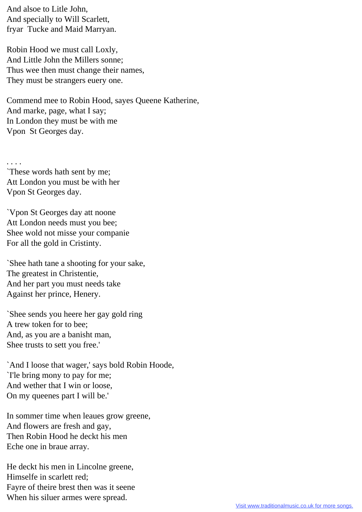And alsoe to Litle John, And specially to Will Scarlett, fryar Tucke and Maid Marryan.

Robin Hood we must call Loxly, And Little John the Millers sonne; Thus wee then must change their names, They must be strangers euery one.

Commend mee to Robin Hood, sayes Queene Katherine, And marke, page, what I say; In London they must be with me Vpon St Georges day.

. . . . `These words hath sent by me; Att London you must be with her Vpon St Georges day.

`Vpon St Georges day att noone Att London needs must you bee; Shee wold not misse your companie For all the gold in Cristinty.

`Shee hath tane a shooting for your sake, The greatest in Christentie, And her part you must needs take Against her prince, Henery.

`Shee sends you heere her gay gold ring A trew token for to bee; And, as you are a banisht man, Shee trusts to sett you free.'

`And I loose that wager,' says bold Robin Hoode, `I'le bring mony to pay for me; And wether that I win or loose, On my queenes part I will be.'

In sommer time when leaues grow greene, And flowers are fresh and gay, Then Robin Hood he deckt his men Eche one in braue array.

He deckt his men in Lincolne greene, Himselfe in scarlett red; Fayre of theire brest then was it seene When his siluer armes were spread.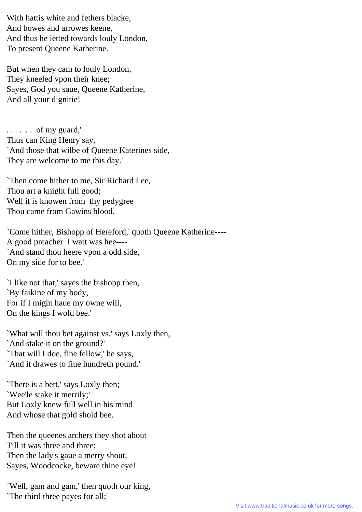With hattis white and fethers blacke, And bowes and arrowes keene, And thus he ietted towards louly London, To present Queene Katherine.

But when they cam to louly London, They kneeled vpon their knee; Sayes, God you saue, Queene Katherine, And all your dignitie!

. . . . . . of my guard,' Thus can King Henry say, `And those that wilbe of Queene Katerines side, They are welcome to me this day.'

`Then come hither to me, Sir Richard Lee, Thou art a knight full good; Well it is knowen from thy pedygree Thou came from Gawins blood.

`Come hither, Bishopp of Hereford,' quoth Queene Katherine---- A good preacher I watt was hee---- `And stand thou heere vpon a odd side, On my side for to bee.'

`I like not that,' sayes the bishopp then, `By faikine of my body, For if I might haue my owne will, On the kings I wold bee.'

`What will thou bet against vs,' says Loxly then, `And stake it on the ground?' `That will I doe, fine fellow,' he says, `And it drawes to fiue hundreth pound.'

`There is a bett,' says Loxly then; `Wee'le stake it merrily;' But Loxly knew full well in his mind And whose that gold shold bee.

Then the queenes archers they shot about Till it was three and three; Then the lady's gaue a merry shout, Sayes, Woodcocke, beware thine eye!

`Well, gam and gam,' then quoth our king, `The third three payes for all;'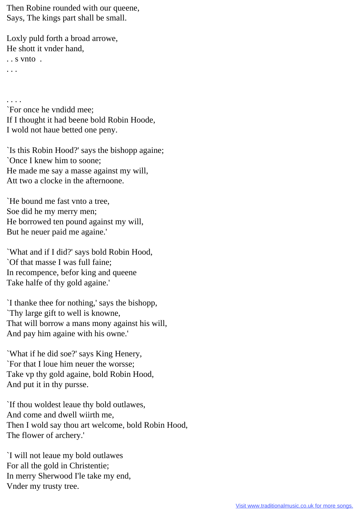Then Robine rounded with our queene, Says, The kings part shall be small.

Loxly puld forth a broad arrowe, He shott it vnder hand, . . s vnto . . . .

. . . .

`For once he vndidd mee; If I thought it had beene bold Robin Hoode, I wold not haue betted one peny.

`Is this Robin Hood?' says the bishopp againe; `Once I knew him to soone; He made me say a masse against my will, Att two a clocke in the afternoone.

`He bound me fast vnto a tree, Soe did he my merry men; He borrowed ten pound against my will, But he neuer paid me againe.'

`What and if I did?' says bold Robin Hood, `Of that masse I was full faine; In recompence, befor king and queene Take halfe of thy gold againe.'

`I thanke thee for nothing,' says the bishopp, `Thy large gift to well is knowne, That will borrow a mans mony against his will, And pay him againe with his owne.'

`What if he did soe?' says King Henery, `For that I loue him neuer the worsse; Take vp thy gold againe, bold Robin Hood, And put it in thy pursse.

`If thou woldest leaue thy bold outlawes, And come and dwell wiirth me, Then I wold say thou art welcome, bold Robin Hood, The flower of archery.'

`I will not leaue my bold outlawes For all the gold in Christentie; In merry Sherwood I'le take my end, Vnder my trusty tree.